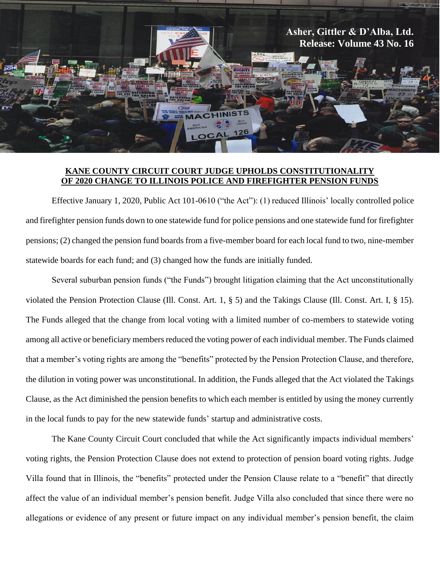

## **KANE COUNTY CIRCUIT COURT JUDGE UPHOLDS CONSTITUTIONALITY OF 2020 CHANGE TO ILLINOIS POLICE AND FIREFIGHTER PENSION FUNDS**

Effective January 1, 2020, Public Act 101-0610 ("the Act"): (1) reduced Illinois' locally controlled police and firefighter pension funds down to one statewide fund for police pensions and one statewide fund for firefighter pensions; (2) changed the pension fund boards from a five-member board for each local fund to two, nine-member statewide boards for each fund; and (3) changed how the funds are initially funded.

Several suburban pension funds ("the Funds") brought litigation claiming that the Act unconstitutionally violated the Pension Protection Clause (Ill. Const. Art. 1, § 5) and the Takings Clause (Ill. Const. Art. I, § 15). The Funds alleged that the change from local voting with a limited number of co-members to statewide voting among all active or beneficiary members reduced the voting power of each individual member. The Funds claimed that a member's voting rights are among the "benefits" protected by the Pension Protection Clause, and therefore, the dilution in voting power was unconstitutional. In addition, the Funds alleged that the Act violated the Takings Clause, as the Act diminished the pension benefits to which each member is entitled by using the money currently in the local funds to pay for the new statewide funds' startup and administrative costs.

The Kane County Circuit Court concluded that while the Act significantly impacts individual members' voting rights, the Pension Protection Clause does not extend to protection of pension board voting rights. Judge Villa found that in Illinois, the "benefits" protected under the Pension Clause relate to a "benefit" that directly affect the value of an individual member's pension benefit. Judge Villa also concluded that since there were no allegations or evidence of any present or future impact on any individual member's pension benefit, the claim